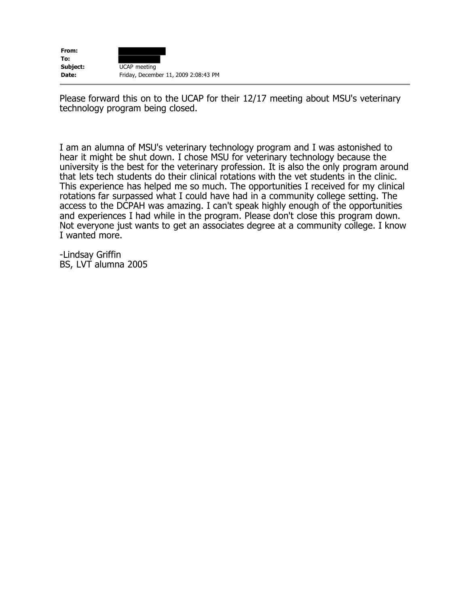| From:    |                                      |
|----------|--------------------------------------|
| To:      |                                      |
| Subject: | UCAP meeting                         |
| Date:    | Friday, December 11, 2009 2:08:43 PM |

Please forward this on to the UCAP for their 12/17 meeting about MSU's veterinary technology program being closed.

I am an alumna of MSU's veterinary technology program and I was astonished to hear it might be shut down. I chose MSU for veterinary technology because the university is the best for the veterinary profession. It is also the only program around that lets tech students do their clinical rotations with the vet students in the clinic. This experience has helped me so much. The opportunities I received for my clinical rotations far surpassed what I could have had in a community college setting. The access to the DCPAH was amazing. I can't speak highly enough of the opportunities and experiences I had while in the program. Please don't close this program down. Not everyone just wants to get an associates degree at a community college. I know I wanted more.

-Lindsay Griffin BS, LVT alumna 2005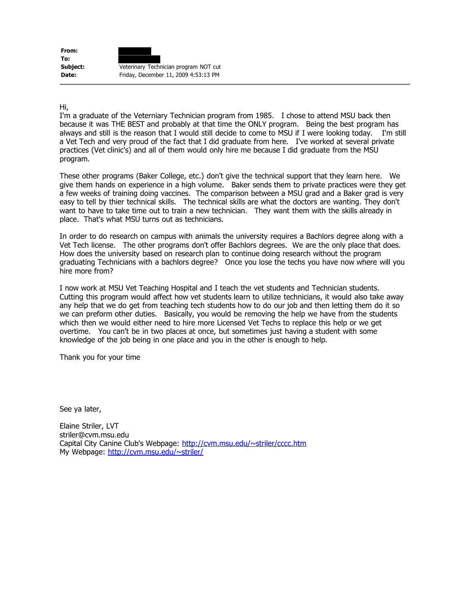| From:    |                                       |
|----------|---------------------------------------|
| To:      |                                       |
| Subject: | Veterinary Technician program NOT cut |
| Date:    | Friday, December 11, 2009 4:53:13 PM  |

Hi,

I'm a graduate of the Veterniary Technician program from 1985. I chose to attend MSU back then because it was THE BEST and probably at that time the ONLY program. Being the best program has always and still is the reason that I would still decide to come to MSU if I were looking today. I'm still a Vet Tech and very proud of the fact that I did graduate from here. I've worked at several private practices (Vet clinic's) and all of them would only hire me because I did graduate from the MSU program.

These other programs (Baker College, etc.) don't give the technical support that they learn here. We give them hands on experience in a high volume. Baker sends them to private practices were they get a few weeks of training doing vaccines. The comparison between a MSU grad and a Baker grad is very easy to tell by thier technical skills. The technical skills are what the doctors are wanting. They don't want to have to take time out to train a new technician. They want them with the skills already in place. That's what MSU turns out as technicians.

In order to do research on campus with animals the university requires a Bachlors degree along with a Vet Tech license. The other programs don't offer Bachlors degrees. We are the only place that does. How does the university based on research plan to continue doing research without the program graduating Technicians with a bachlors degree? Once you lose the techs you have now where will you hire more from?

I now work at MSU Vet Teaching Hospital and I teach the vet students and Technician students. Cutting this program would affect how vet students learn to utilize technicians, it would also take away any help that we do get from teaching tech students how to do our job and then letting them do it so we can preform other duties. Basically, you would be removing the help we have from the students which then we would either need to hire more Licensed Vet Techs to replace this help or we get overtime. You can't be in two places at once, but sometimes just having a student with some knowledge of the job being in one place and you in the other is enough to help.

Thank you for your time

See ya later,

Elaine Striler, LVT striler@cvm.msu.edu Capital City Canine Club's Webpage: <http://cvm.msu.edu/~striler/cccc.htm> My Webpage:<http://cvm.msu.edu/~striler/>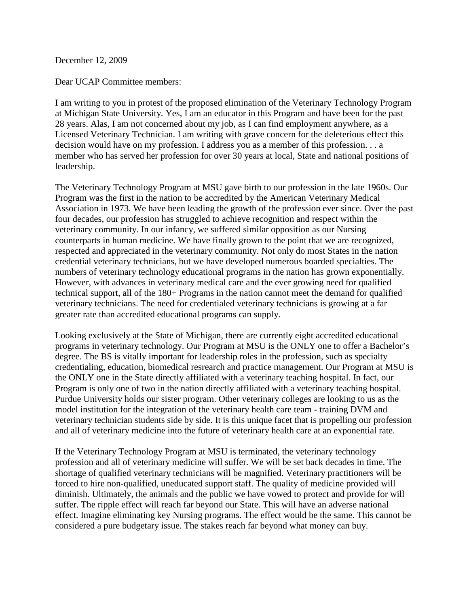December 12, 2009

Dear UCAP Committee members:

I am writing to you in protest of the proposed elimination of the Veterinary Technology Program at Michigan State University. Yes, I am an educator in this Program and have been for the past 28 years. Alas, I am not concerned about my job, as I can find employment anywhere, as a Licensed Veterinary Technician. I am writing with grave concern for the deleterious effect this decision would have on my profession. I address you as a member of this profession. . . a member who has served her profession for over 30 years at local, State and national positions of leadership.

The Veterinary Technology Program at MSU gave birth to our profession in the late 1960s. Our Program was the first in the nation to be accredited by the American Veterinary Medical Association in 1973. We have been leading the growth of the profession ever since. Over the past four decades, our profession has struggled to achieve recognition and respect within the veterinary community. In our infancy, we suffered similar opposition as our Nursing counterparts in human medicine. We have finally grown to the point that we are recognized, respected and appreciated in the veterinary community. Not only do most States in the nation credential veterinary technicians, but we have developed numerous boarded specialties. The numbers of veterinary technology educational programs in the nation has grown exponentially. However, with advances in veterinary medical care and the ever growing need for qualified technical support, all of the 180+ Programs in the nation cannot meet the demand for qualified veterinary technicians. The need for credentialed veterinary technicians is growing at a far greater rate than accredited educational programs can supply.

Looking exclusively at the State of Michigan, there are currently eight accredited educational programs in veterinary technology. Our Program at MSU is the ONLY one to offer a Bachelor's degree. The BS is vitally important for leadership roles in the profession, such as specialty credentialing, education, biomedical resrearch and practice management. Our Program at MSU is the ONLY one in the State directly affiliated with a veterinary teaching hospital. In fact, our Program is only one of two in the nation directly affiliated with a veterinary teaching hospital. Purdue University holds our sister program. Other veterinary colleges are looking to us as the model institution for the integration of the veterinary health care team - training DVM and veterinary technician students side by side. It is this unique facet that is propelling our profession and all of veterinary medicine into the future of veterinary health care at an exponential rate.

If the Veterinary Technology Program at MSU is terminated, the veterinary technology profession and all of veterinary medicine will suffer. We will be set back decades in time. The shortage of qualified veterinary technicians will be magnified. Veterinary practitioners will be forced to hire non-qualified, uneducated support staff. The quality of medicine provided will diminish. Ultimately, the animals and the public we have vowed to protect and provide for will suffer. The ripple effect will reach far beyond our State. This will have an adverse national effect. Imagine eliminating key Nursing programs. The effect would be the same. This cannot be considered a pure budgetary issue. The stakes reach far beyond what money can buy.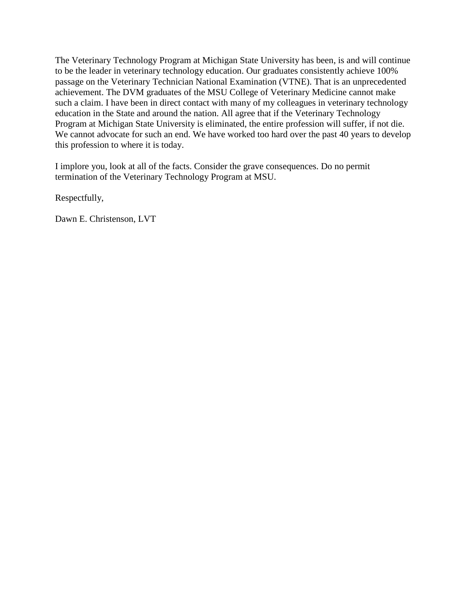The Veterinary Technology Program at Michigan State University has been, is and will continue to be the leader in veterinary technology education. Our graduates consistently achieve 100% passage on the Veterinary Technician National Examination (VTNE). That is an unprecedented achievement. The DVM graduates of the MSU College of Veterinary Medicine cannot make such a claim. I have been in direct contact with many of my colleagues in veterinary technology education in the State and around the nation. All agree that if the Veterinary Technology Program at Michigan State University is eliminated, the entire profession will suffer, if not die. We cannot advocate for such an end. We have worked too hard over the past 40 years to develop this profession to where it is today.

I implore you, look at all of the facts. Consider the grave consequences. Do no permit termination of the Veterinary Technology Program at MSU.

Respectfully,

Dawn E. Christenson, LVT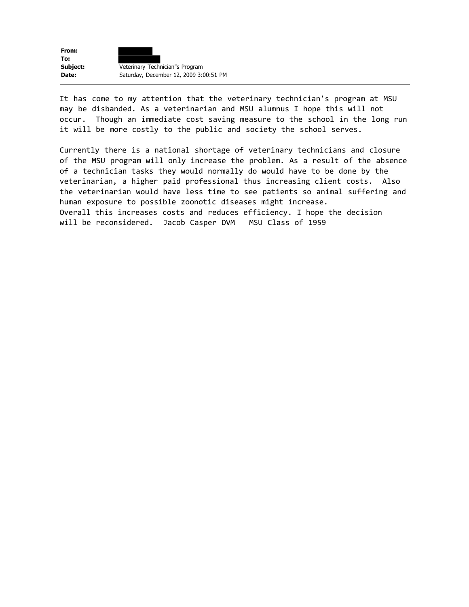

It has come to my attention that the veterinary technician's program at MSU may be disbanded. As a veterinarian and MSU alumnus I hope this will not occur. Though an immediate cost saving measure to the school in the long run it will be more costly to the public and society the school serves.

Currently there is a national shortage of veterinary technicians and closure of the MSU program will only increase the problem. As a result of the absence of a technician tasks they would normally do would have to be done by the veterinarian, a higher paid professional thus increasing client costs. Also the veterinarian would have less time to see patients so animal suffering and human exposure to possible zoonotic diseases might increase. Overall this increases costs and reduces efficiency. I hope the decision will be reconsidered. Jacob Casper DVM MSU Class of 1959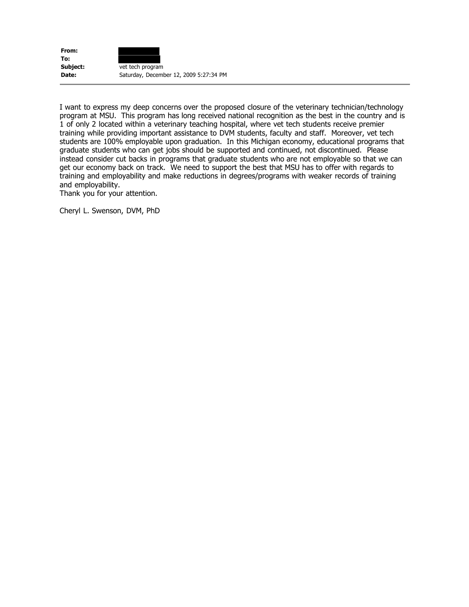| From:    |                                        |
|----------|----------------------------------------|
| To:      |                                        |
| Subject: | vet tech program                       |
| Date:    | Saturday, December 12, 2009 5:27:34 PM |

I want to express my deep concerns over the proposed closure of the veterinary technician/technology program at MSU. This program has long received national recognition as the best in the country and is 1 of only 2 located within a veterinary teaching hospital, where vet tech students receive premier training while providing important assistance to DVM students, faculty and staff. Moreover, vet tech students are 100% employable upon graduation. In this Michigan economy, educational programs that graduate students who can get jobs should be supported and continued, not discontinued. Please instead consider cut backs in programs that graduate students who are not employable so that we can get our economy back on track. We need to support the best that MSU has to offer with regards to training and employability and make reductions in degrees/programs with weaker records of training and employability.

Thank you for your attention.

Cheryl L. Swenson, DVM, PhD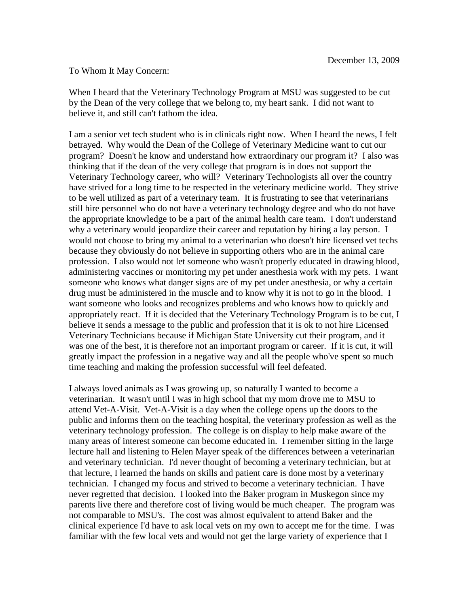## To Whom It May Concern:

When I heard that the Veterinary Technology Program at MSU was suggested to be cut by the Dean of the very college that we belong to, my heart sank. I did not want to believe it, and still can't fathom the idea.

I am a senior vet tech student who is in clinicals right now. When I heard the news, I felt betrayed. Why would the Dean of the College of Veterinary Medicine want to cut our program? Doesn't he know and understand how extraordinary our program it? I also was thinking that if the dean of the very college that program is in does not support the Veterinary Technology career, who will? Veterinary Technologists all over the country have strived for a long time to be respected in the veterinary medicine world. They strive to be well utilized as part of a veterinary team. It is frustrating to see that veterinarians still hire personnel who do not have a veterinary technology degree and who do not have the appropriate knowledge to be a part of the animal health care team. I don't understand why a veterinary would jeopardize their career and reputation by hiring a lay person. I would not choose to bring my animal to a veterinarian who doesn't hire licensed vet techs because they obviously do not believe in supporting others who are in the animal care profession. I also would not let someone who wasn't properly educated in drawing blood, administering vaccines or monitoring my pet under anesthesia work with my pets. I want someone who knows what danger signs are of my pet under anesthesia, or why a certain drug must be administered in the muscle and to know why it is not to go in the blood. I want someone who looks and recognizes problems and who knows how to quickly and appropriately react. If it is decided that the Veterinary Technology Program is to be cut, I believe it sends a message to the public and profession that it is ok to not hire Licensed Veterinary Technicians because if Michigan State University cut their program, and it was one of the best, it is therefore not an important program or career. If it is cut, it will greatly impact the profession in a negative way and all the people who've spent so much time teaching and making the profession successful will feel defeated.

I always loved animals as I was growing up, so naturally I wanted to become a veterinarian. It wasn't until I was in high school that my mom drove me to MSU to attend Vet-A-Visit. Vet-A-Visit is a day when the college opens up the doors to the public and informs them on the teaching hospital, the veterinary profession as well as the veterinary technology profession. The college is on display to help make aware of the many areas of interest someone can become educated in. I remember sitting in the large lecture hall and listening to Helen Mayer speak of the differences between a veterinarian and veterinary technician. I'd never thought of becoming a veterinary technician, but at that lecture, I learned the hands on skills and patient care is done most by a veterinary technician. I changed my focus and strived to become a veterinary technician. I have never regretted that decision. I looked into the Baker program in Muskegon since my parents live there and therefore cost of living would be much cheaper. The program was not comparable to MSU's. The cost was almost equivalent to attend Baker and the clinical experience I'd have to ask local vets on my own to accept me for the time. I was familiar with the few local vets and would not get the large variety of experience that I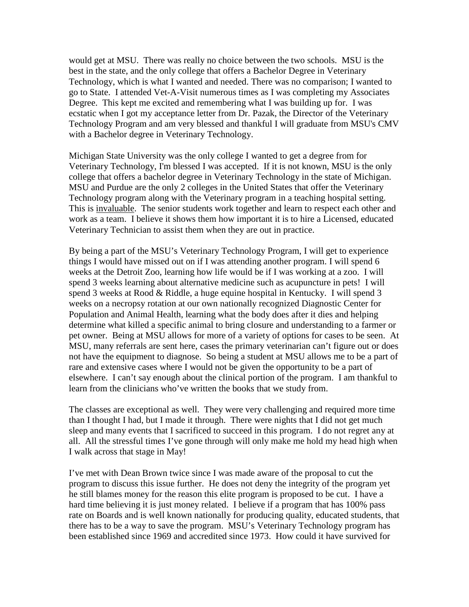would get at MSU. There was really no choice between the two schools. MSU is the best in the state, and the only college that offers a Bachelor Degree in Veterinary Technology, which is what I wanted and needed. There was no comparison; I wanted to go to State. I attended Vet-A-Visit numerous times as I was completing my Associates Degree. This kept me excited and remembering what I was building up for. I was ecstatic when I got my acceptance letter from Dr. Pazak, the Director of the Veterinary Technology Program and am very blessed and thankful I will graduate from MSU's CMV with a Bachelor degree in Veterinary Technology.

Michigan State University was the only college I wanted to get a degree from for Veterinary Technology, I'm blessed I was accepted. If it is not known, MSU is the only college that offers a bachelor degree in Veterinary Technology in the state of Michigan. MSU and Purdue are the only 2 colleges in the United States that offer the Veterinary Technology program along with the Veterinary program in a teaching hospital setting. This is invaluable. The senior students work together and learn to respect each other and work as a team. I believe it shows them how important it is to hire a Licensed, educated Veterinary Technician to assist them when they are out in practice.

By being a part of the MSU's Veterinary Technology Program, I will get to experience things I would have missed out on if I was attending another program. I will spend 6 weeks at the Detroit Zoo, learning how life would be if I was working at a zoo. I will spend 3 weeks learning about alternative medicine such as acupuncture in pets! I will spend 3 weeks at Rood & Riddle, a huge equine hospital in Kentucky. I will spend 3 weeks on a necropsy rotation at our own nationally recognized Diagnostic Center for Population and Animal Health, learning what the body does after it dies and helping determine what killed a specific animal to bring closure and understanding to a farmer or pet owner. Being at MSU allows for more of a variety of options for cases to be seen. At MSU, many referrals are sent here, cases the primary veterinarian can't figure out or does not have the equipment to diagnose. So being a student at MSU allows me to be a part of rare and extensive cases where I would not be given the opportunity to be a part of elsewhere. I can't say enough about the clinical portion of the program. I am thankful to learn from the clinicians who've written the books that we study from.

The classes are exceptional as well. They were very challenging and required more time than I thought I had, but I made it through. There were nights that I did not get much sleep and many events that I sacrificed to succeed in this program. I do not regret any at all. All the stressful times I've gone through will only make me hold my head high when I walk across that stage in May!

I've met with Dean Brown twice since I was made aware of the proposal to cut the program to discuss this issue further. He does not deny the integrity of the program yet he still blames money for the reason this elite program is proposed to be cut. I have a hard time believing it is just money related. I believe if a program that has 100% pass rate on Boards and is well known nationally for producing quality, educated students, that there has to be a way to save the program. MSU's Veterinary Technology program has been established since 1969 and accredited since 1973. How could it have survived for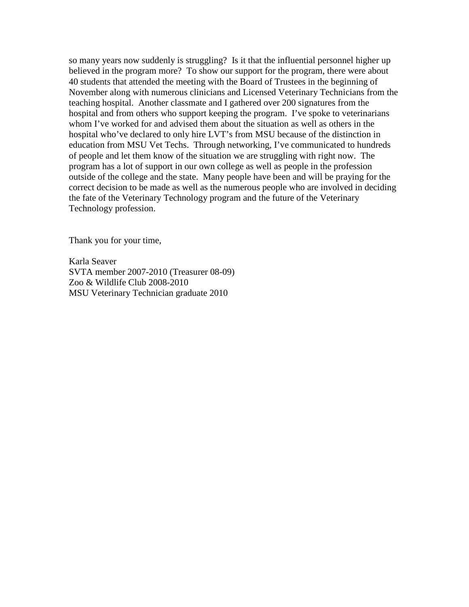so many years now suddenly is struggling? Is it that the influential personnel higher up believed in the program more? To show our support for the program, there were about 40 students that attended the meeting with the Board of Trustees in the beginning of November along with numerous clinicians and Licensed Veterinary Technicians from the teaching hospital. Another classmate and I gathered over 200 signatures from the hospital and from others who support keeping the program. I've spoke to veterinarians whom I've worked for and advised them about the situation as well as others in the hospital who've declared to only hire LVT's from MSU because of the distinction in education from MSU Vet Techs. Through networking, I've communicated to hundreds of people and let them know of the situation we are struggling with right now. The program has a lot of support in our own college as well as people in the profession outside of the college and the state. Many people have been and will be praying for the correct decision to be made as well as the numerous people who are involved in deciding the fate of the Veterinary Technology program and the future of the Veterinary Technology profession.

Thank you for your time,

Karla Seaver SVTA member 2007-2010 (Treasurer 08-09) Zoo & Wildlife Club 2008-2010 MSU Veterinary Technician graduate 2010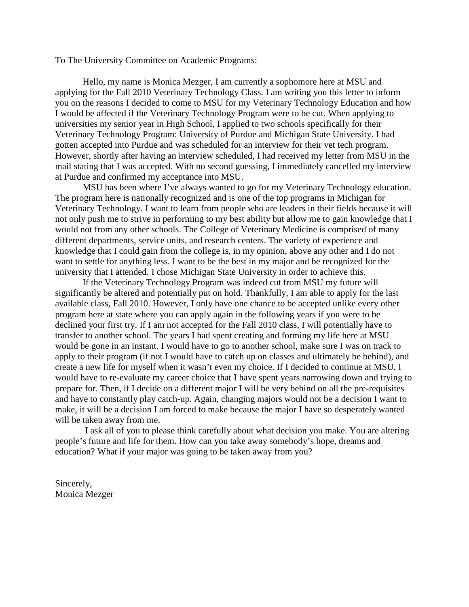To The University Committee on Academic Programs:

Hello, my name is Monica Mezger, I am currently a sophomore here at MSU and applying for the Fall 2010 Veterinary Technology Class. I am writing you this letter to inform you on the reasons I decided to come to MSU for my Veterinary Technology Education and how I would be affected if the Veterinary Technology Program were to be cut. When applying to universities my senior year in High School, I applied to two schools specifically for their Veterinary Technology Program: University of Purdue and Michigan State University. I had gotten accepted into Purdue and was scheduled for an interview for their vet tech program. However, shortly after having an interview scheduled, I had received my letter from MSU in the mail stating that I was accepted. With no second guessing, I immediately cancelled my interview at Purdue and confirmed my acceptance into MSU.

MSU has been where I've always wanted to go for my Veterinary Technology education. The program here is nationally recognized and is one of the top programs in Michigan for Veterinary Technology. I want to learn from people who are leaders in their fields because it will not only push me to strive in performing to my best ability but allow me to gain knowledge that I would not from any other schools. The College of Veterinary Medicine is comprised of many different departments, service units, and research centers. The variety of experience and knowledge that I could gain from the college is, in my opinion, above any other and I do not want to settle for anything less. I want to be the best in my major and be recognized for the university that I attended. I chose Michigan State University in order to achieve this.

If the Veterinary Technology Program was indeed cut from MSU my future will significantly be altered and potentially put on hold. Thankfully, I am able to apply for the last available class, Fall 2010. However, I only have one chance to be accepted unlike every other program here at state where you can apply again in the following years if you were to be declined your first try. If I am not accepted for the Fall 2010 class, I will potentially have to transfer to another school. The years I had spent creating and forming my life here at MSU would be gone in an instant. I would have to go to another school, make sure I was on track to apply to their program (if not I would have to catch up on classes and ultimately be behind), and create a new life for myself when it wasn't even my choice. If I decided to continue at MSU, I would have to re-evaluate my career choice that I have spent years narrowing down and trying to prepare for. Then, if I decide on a different major I will be very behind on all the pre-requisites and have to constantly play catch-up. Again, changing majors would not be a decision I want to make, it will be a decision I am forced to make because the major I have so desperately wanted will be taken away from me.

I ask all of you to please think carefully about what decision you make. You are altering people's future and life for them. How can you take away somebody's hope, dreams and education? What if your major was going to be taken away from you?

Sincerely, Monica Mezger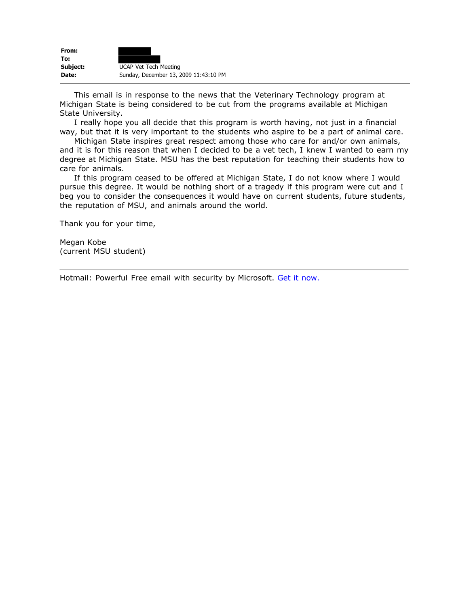| From:    |                                       |
|----------|---------------------------------------|
| To:      |                                       |
| Subject: | <b>UCAP Vet Tech Meeting</b>          |
| Date:    | Sunday, December 13, 2009 11:43:10 PM |

 This email is in response to the news that the Veterinary Technology program at Michigan State is being considered to be cut from the programs available at Michigan State University.

 I really hope you all decide that this program is worth having, not just in a financial way, but that it is very important to the students who aspire to be a part of animal care.

 Michigan State inspires great respect among those who care for and/or own animals, and it is for this reason that when I decided to be a vet tech, I knew I wanted to earn my degree at Michigan State. MSU has the best reputation for teaching their students how to care for animals.

 If this program ceased to be offered at Michigan State, I do not know where I would pursue this degree. It would be nothing short of a tragedy if this program were cut and I beg you to consider the consequences it would have on current students, future students, the reputation of MSU, and animals around the world.

Thank you for your time,

Megan Kobe (current MSU student)

Hotmail: Powerful Free email with security by Microsoft. Get it [now.](http://clk.atdmt.com/GBL/go/171222986/direct/01/)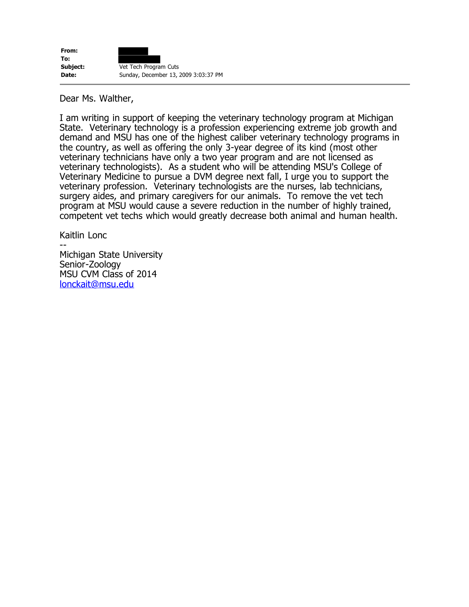Dear Ms. Walther,

I am writing in support of keeping the veterinary technology program at Michigan State. Veterinary technology is a profession experiencing extreme job growth and demand and MSU has one of the highest caliber veterinary technology programs in the country, as well as offering the only 3-year degree of its kind (most other veterinary technicians have only a two year program and are not licensed as veterinary technologists). As a student who will be attending MSU's College of Veterinary Medicine to pursue a DVM degree next fall, I urge you to support the veterinary profession. Veterinary technologists are the nurses, lab technicians, surgery aides, and primary caregivers for our animals. To remove the vet tech program at MSU would cause a severe reduction in the number of highly trained, competent vet techs which would greatly decrease both animal and human health.

Kaitlin Lonc -- Michigan State University Senior-Zoology MSU CVM Class of 2014 [lonckait@msu.edu](mailto:lonckait@msu.edu)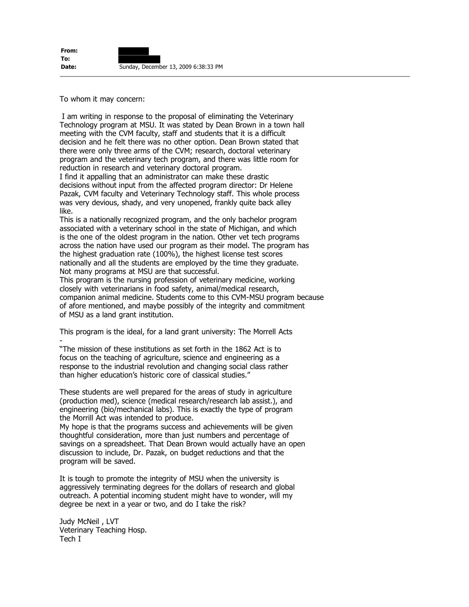To whom it may concern:

I am writing in response to the proposal of eliminating the Veterinary Technology program at MSU. It was stated by Dean Brown in a town hall meeting with the CVM faculty, staff and students that it is a difficult decision and he felt there was no other option. Dean Brown stated that there were only three arms of the CVM; research, doctoral veterinary program and the veterinary tech program, and there was little room for reduction in research and veterinary doctoral program.

I find it appalling that an administrator can make these drastic decisions without input from the affected program director: Dr Helene Pazak, CVM faculty and Veterinary Technology staff. This whole process was very devious, shady, and very unopened, frankly quite back alley like.

This is a nationally recognized program, and the only bachelor program associated with a veterinary school in the state of Michigan, and which is the one of the oldest program in the nation. Other vet tech programs across the nation have used our program as their model. The program has the highest graduation rate (100%), the highest license test scores nationally and all the students are employed by the time they graduate. Not many programs at MSU are that successful.

This program is the nursing profession of veterinary medicine, working closely with veterinarians in food safety, animal/medical research, companion animal medicine. Students come to this CVM-MSU program because of afore mentioned, and maybe possibly of the integrity and commitment of MSU as a land grant institution.

This program is the ideal, for a land grant university: The Morrell Acts -

"The mission of these institutions as set forth in the 1862 Act is to focus on the teaching of agriculture, science and engineering as a response to the industrial revolution and changing social class rather than higher education's historic core of classical studies."

These students are well prepared for the areas of study in agriculture (production med), science (medical research/research lab assist.), and engineering (bio/mechanical labs). This is exactly the type of program the Morrill Act was intended to produce.

My hope is that the programs success and achievements will be given thoughtful consideration, more than just numbers and percentage of savings on a spreadsheet. That Dean Brown would actually have an open discussion to include, Dr. Pazak, on budget reductions and that the program will be saved.

It is tough to promote the integrity of MSU when the university is aggressively terminating degrees for the dollars of research and global outreach. A potential incoming student might have to wonder, will my degree be next in a year or two, and do I take the risk?

Judy McNeil , LVT Veterinary Teaching Hosp. Tech I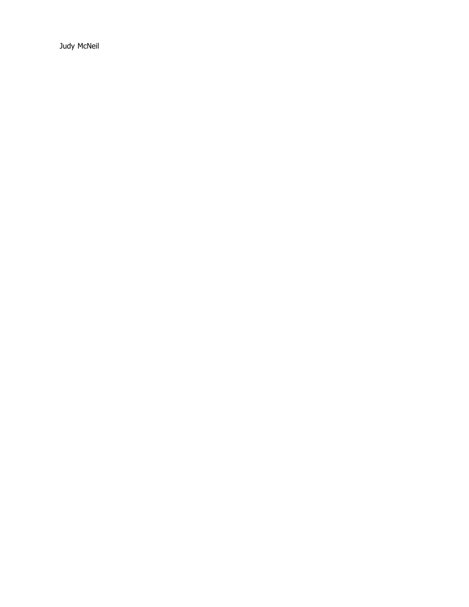Judy McNeil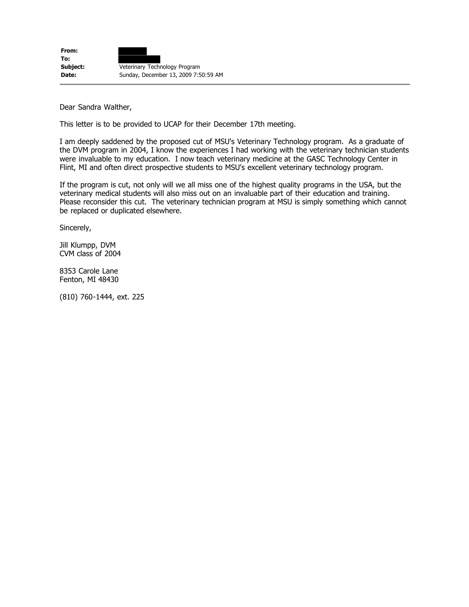Dear Sandra Walther,

This letter is to be provided to UCAP for their December 17th meeting.

I am deeply saddened by the proposed cut of MSU's Veterinary Technology program. As a graduate of the DVM program in 2004, I know the experiences I had working with the veterinary technician students were invaluable to my education. I now teach veterinary medicine at the GASC Technology Center in Flint, MI and often direct prospective students to MSU's excellent veterinary technology program.

If the program is cut, not only will we all miss one of the highest quality programs in the USA, but the veterinary medical students will also miss out on an invaluable part of their education and training. Please reconsider this cut. The veterinary technician program at MSU is simply something which cannot be replaced or duplicated elsewhere.

Sincerely,

Jill Klumpp, DVM CVM class of 2004

8353 Carole Lane Fenton, MI 48430

(810) 760-1444, ext. 225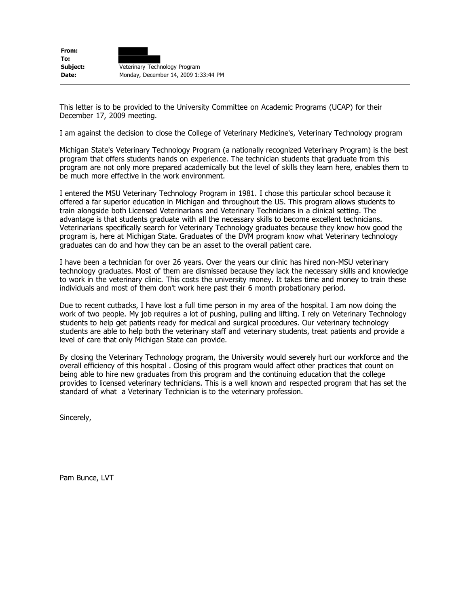| From:    |                                      |
|----------|--------------------------------------|
| To:      |                                      |
| Subject: | Veterinary Technology Program        |
| Date:    | Monday, December 14, 2009 1:33:44 PM |

This letter is to be provided to the University Committee on Academic Programs (UCAP) for their December 17, 2009 meeting.

I am against the decision to close the College of Veterinary Medicine's, Veterinary Technology program

Michigan State's Veterinary Technology Program (a nationally recognized Veterinary Program) is the best program that offers students hands on experience. The technician students that graduate from this program are not only more prepared academically but the level of skills they learn here, enables them to be much more effective in the work environment.

I entered the MSU Veterinary Technology Program in 1981. I chose this particular school because it offered a far superior education in Michigan and throughout the US. This program allows students to train alongside both Licensed Veterinarians and Veterinary Technicians in a clinical setting. The advantage is that students graduate with all the necessary skills to become excellent technicians. Veterinarians specifically search for Veterinary Technology graduates because they know how good the program is, here at Michigan State. Graduates of the DVM program know what Veterinary technology graduates can do and how they can be an asset to the overall patient care.

I have been a technician for over 26 years. Over the years our clinic has hired non-MSU veterinary technology graduates. Most of them are dismissed because they lack the necessary skills and knowledge to work in the veterinary clinic. This costs the university money. It takes time and money to train these individuals and most of them don't work here past their 6 month probationary period.

Due to recent cutbacks, I have lost a full time person in my area of the hospital. I am now doing the work of two people. My job requires a lot of pushing, pulling and lifting. I rely on Veterinary Technology students to help get patients ready for medical and surgical procedures. Our veterinary technology students are able to help both the veterinary staff and veterinary students, treat patients and provide a level of care that only Michigan State can provide.

By closing the Veterinary Technology program, the University would severely hurt our workforce and the overall efficiency of this hospital . Closing of this program would affect other practices that count on being able to hire new graduates from this program and the continuing education that the college provides to licensed veterinary technicians. This is a well known and respected program that has set the standard of what a Veterinary Technician is to the veterinary profession.

Sincerely,

Pam Bunce, LVT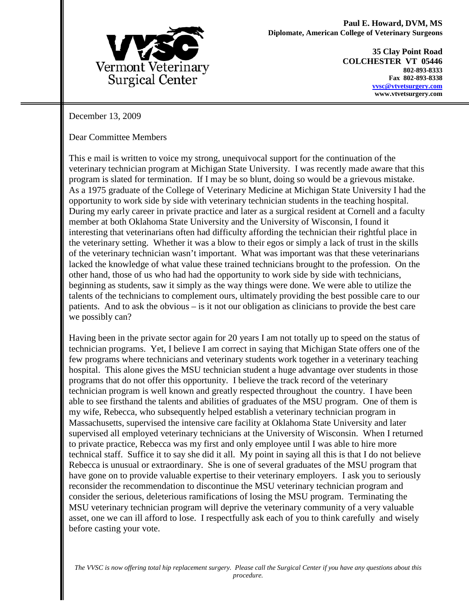

**35 Clay Point Road COLCHESTER VT 05446 802-893-8333 Fax 802-893-8338 [vvsc@vtvetsurgery.com](mailto:vvsc@vtvetsurgery.com) www.vtvetsurgery.com**

December 13, 2009

Dear Committee Members

This e mail is written to voice my strong, unequivocal support for the continuation of the veterinary technician program at Michigan State University. I was recently made aware that this program is slated for termination. If I may be so blunt, doing so would be a grievous mistake. As a 1975 graduate of the College of Veterinary Medicine at Michigan State University I had the opportunity to work side by side with veterinary technician students in the teaching hospital. During my early career in private practice and later as a surgical resident at Cornell and a faculty member at both Oklahoma State University and the University of Wisconsin, I found it interesting that veterinarians often had difficulty affording the technician their rightful place in the veterinary setting. Whether it was a blow to their egos or simply a lack of trust in the skills of the veterinary technician wasn't important. What was important was that these veterinarians lacked the knowledge of what value these trained technicians brought to the profession. On the other hand, those of us who had had the opportunity to work side by side with technicians, beginning as students, saw it simply as the way things were done. We were able to utilize the talents of the technicians to complement ours, ultimately providing the best possible care to our patients. And to ask the obvious – is it not our obligation as clinicians to provide the best care we possibly can?

Having been in the private sector again for 20 years I am not totally up to speed on the status of technician programs. Yet, I believe I am correct in saying that Michigan State offers one of the few programs where technicians and veterinary students work together in a veterinary teaching hospital. This alone gives the MSU technician student a huge advantage over students in those programs that do not offer this opportunity. I believe the track record of the veterinary technician program is well known and greatly respected throughout the country. I have been able to see firsthand the talents and abilities of graduates of the MSU program. One of them is my wife, Rebecca, who subsequently helped establish a veterinary technician program in Massachusetts, supervised the intensive care facility at Oklahoma State University and later supervised all employed veterinary technicians at the University of Wisconsin. When I returned to private practice, Rebecca was my first and only employee until I was able to hire more technical staff. Suffice it to say she did it all. My point in saying all this is that I do not believe Rebecca is unusual or extraordinary. She is one of several graduates of the MSU program that have gone on to provide valuable expertise to their veterinary employers. I ask you to seriously reconsider the recommendation to discontinue the MSU veterinary technician program and consider the serious, deleterious ramifications of losing the MSU program. Terminating the MSU veterinary technician program will deprive the veterinary community of a very valuable asset, one we can ill afford to lose. I respectfully ask each of you to think carefully and wisely before casting your vote.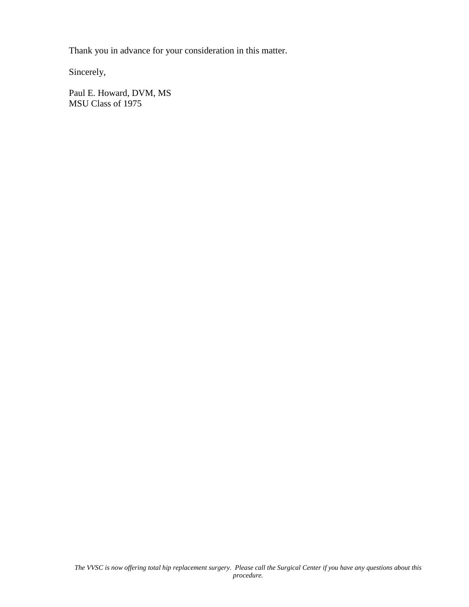Thank you in advance for your consideration in this matter.

Sincerely,

Paul E. Howard, DVM, MS MSU Class of 1975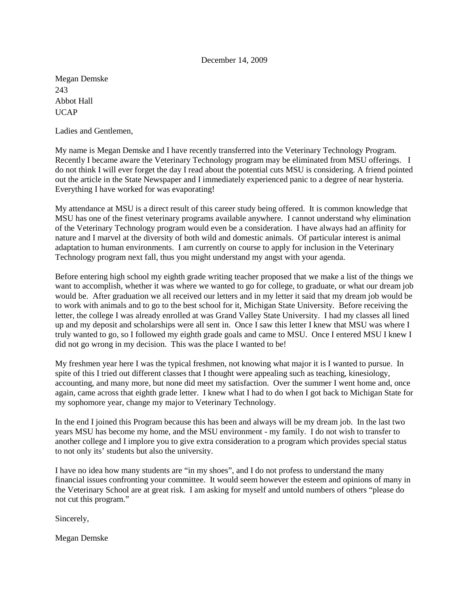Megan Demske 243 Abbot Hall **IICAP** 

Ladies and Gentlemen,

My name is Megan Demske and I have recently transferred into the Veterinary Technology Program. Recently I became aware the Veterinary Technology program may be eliminated from MSU offerings. I do not think I will ever forget the day I read about the potential cuts MSU is considering. A friend pointed out the article in the State Newspaper and I immediately experienced panic to a degree of near hysteria. Everything I have worked for was evaporating!

My attendance at MSU is a direct result of this career study being offered. It is common knowledge that MSU has one of the finest veterinary programs available anywhere. I cannot understand why elimination of the Veterinary Technology program would even be a consideration. I have always had an affinity for nature and I marvel at the diversity of both wild and domestic animals. Of particular interest is animal adaptation to human environments. I am currently on course to apply for inclusion in the Veterinary Technology program next fall, thus you might understand my angst with your agenda.

Before entering high school my eighth grade writing teacher proposed that we make a list of the things we want to accomplish, whether it was where we wanted to go for college, to graduate, or what our dream job would be. After graduation we all received our letters and in my letter it said that my dream job would be to work with animals and to go to the best school for it, Michigan State University. Before receiving the letter, the college I was already enrolled at was Grand Valley State University. I had my classes all lined up and my deposit and scholarships were all sent in. Once I saw this letter I knew that MSU was where I truly wanted to go, so I followed my eighth grade goals and came to MSU. Once I entered MSU I knew I did not go wrong in my decision. This was the place I wanted to be!

My freshmen year here I was the typical freshmen, not knowing what major it is I wanted to pursue. In spite of this I tried out different classes that I thought were appealing such as teaching, kinesiology, accounting, and many more, but none did meet my satisfaction. Over the summer I went home and, once again, came across that eighth grade letter. I knew what I had to do when I got back to Michigan State for my sophomore year, change my major to Veterinary Technology.

In the end I joined this Program because this has been and always will be my dream job. In the last two years MSU has become my home, and the MSU environment - my family. I do not wish to transfer to another college and I implore you to give extra consideration to a program which provides special status to not only its' students but also the university.

I have no idea how many students are "in my shoes", and I do not profess to understand the many financial issues confronting your committee. It would seem however the esteem and opinions of many in the Veterinary School are at great risk. I am asking for myself and untold numbers of others "please do not cut this program."

Sincerely,

Megan Demske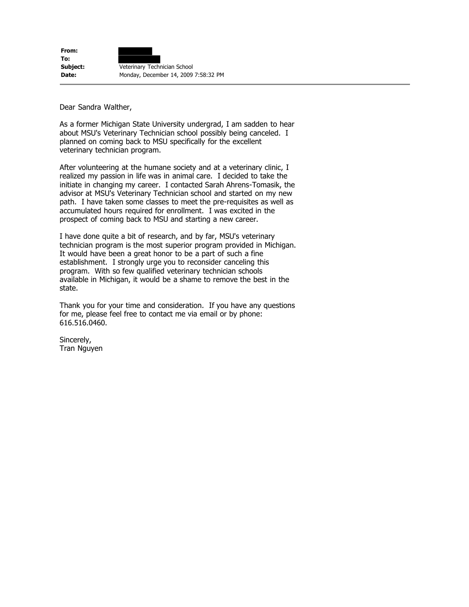**From: To: Subject: Veterinary Technician School Date:** Monday, December 14, 2009 7:58:32 PM

Dear Sandra Walther,

As a former Michigan State University undergrad, I am sadden to hear about MSU's Veterinary Technician school possibly being canceled. I planned on coming back to MSU specifically for the excellent veterinary technician program.

After volunteering at the humane society and at a veterinary clinic, I realized my passion in life was in animal care. I decided to take the initiate in changing my career. I contacted Sarah Ahrens-Tomasik, the advisor at MSU's Veterinary Technician school and started on my new path. I have taken some classes to meet the pre-requisites as well as accumulated hours required for enrollment. I was excited in the prospect of coming back to MSU and starting a new career.

I have done quite a bit of research, and by far, MSU's veterinary technician program is the most superior program provided in Michigan. It would have been a great honor to be a part of such a fine establishment. I strongly urge you to reconsider canceling this program. With so few qualified veterinary technician schools available in Michigan, it would be a shame to remove the best in the state.

Thank you for your time and consideration. If you have any questions for me, please feel free to contact me via email or by phone: 616.516.0460.

Sincerely, Tran Nguyen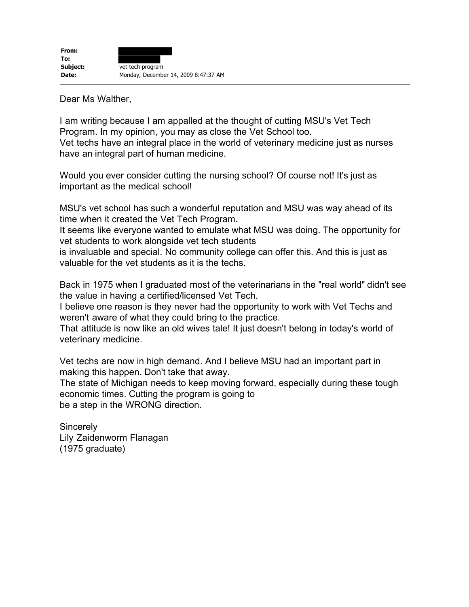Dear Ms Walther,

I am writing because I am appalled at the thought of cutting MSU's Vet Tech Program. In my opinion, you may as close the Vet School too. Vet techs have an integral place in the world of veterinary medicine just as nurses have an integral part of human medicine.

Would you ever consider cutting the nursing school? Of course not! It's just as important as the medical school!

MSU's vet school has such a wonderful reputation and MSU was way ahead of its time when it created the Vet Tech Program.

It seems like everyone wanted to emulate what MSU was doing. The opportunity for vet students to work alongside vet tech students

is invaluable and special. No community college can offer this. And this is just as valuable for the vet students as it is the techs.

Back in 1975 when I graduated most of the veterinarians in the "real world" didn't see the value in having a certified/licensed Vet Tech.

I believe one reason is they never had the opportunity to work with Vet Techs and weren't aware of what they could bring to the practice.

That attitude is now like an old wives tale! It just doesn't belong in today's world of veterinary medicine.

Vet techs are now in high demand. And I believe MSU had an important part in making this happen. Don't take that away.

The state of Michigan needs to keep moving forward, especially during these tough economic times. Cutting the program is going to be a step in the WRONG direction.

**Sincerely** Lily Zaidenworm Flanagan (1975 graduate)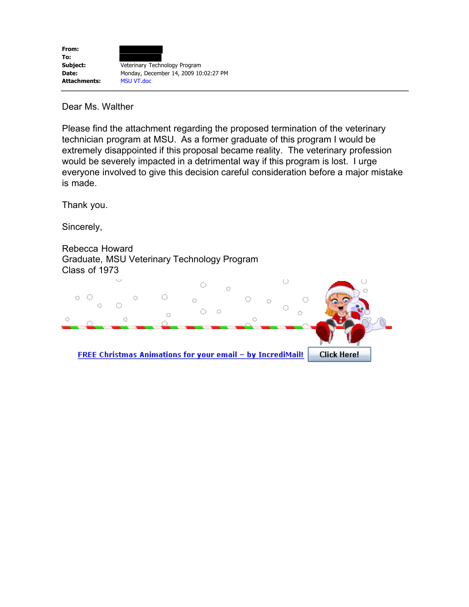

Dear Ms. Walther

Please find the attachment regarding the proposed termination of the veterinary technician program at MSU. As a former graduate of this program I would be extremely disappointed if this proposal became reality. The veterinary profession would be severely impacted in a detrimental way if this program is lost. I urge everyone involved to give this decision careful consideration before a major mistake is made.

Thank you.

Sincerely,

Rebecca Howard Graduate, MSU Veterinary Technology Program Class of 1973

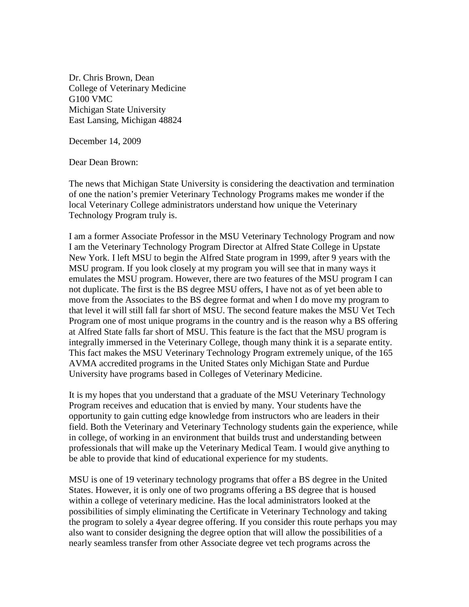Dr. Chris Brown, Dean College of Veterinary Medicine G100 VMC Michigan State University East Lansing, Michigan 48824

December 14, 2009

Dear Dean Brown:

The news that Michigan State University is considering the deactivation and termination of one the nation's premier Veterinary Technology Programs makes me wonder if the local Veterinary College administrators understand how unique the Veterinary Technology Program truly is.

I am a former Associate Professor in the MSU Veterinary Technology Program and now I am the Veterinary Technology Program Director at Alfred State College in Upstate New York. I left MSU to begin the Alfred State program in 1999, after 9 years with the MSU program. If you look closely at my program you will see that in many ways it emulates the MSU program. However, there are two features of the MSU program I can not duplicate. The first is the BS degree MSU offers, I have not as of yet been able to move from the Associates to the BS degree format and when I do move my program to that level it will still fall far short of MSU. The second feature makes the MSU Vet Tech Program one of most unique programs in the country and is the reason why a BS offering at Alfred State falls far short of MSU. This feature is the fact that the MSU program is integrally immersed in the Veterinary College, though many think it is a separate entity. This fact makes the MSU Veterinary Technology Program extremely unique, of the 165 AVMA accredited programs in the United States only Michigan State and Purdue University have programs based in Colleges of Veterinary Medicine.

It is my hopes that you understand that a graduate of the MSU Veterinary Technology Program receives and education that is envied by many. Your students have the opportunity to gain cutting edge knowledge from instructors who are leaders in their field. Both the Veterinary and Veterinary Technology students gain the experience, while in college, of working in an environment that builds trust and understanding between professionals that will make up the Veterinary Medical Team. I would give anything to be able to provide that kind of educational experience for my students.

MSU is one of 19 veterinary technology programs that offer a BS degree in the United States. However, it is only one of two programs offering a BS degree that is housed within a college of veterinary medicine. Has the local administrators looked at the possibilities of simply eliminating the Certificate in Veterinary Technology and taking the program to solely a 4year degree offering. If you consider this route perhaps you may also want to consider designing the degree option that will allow the possibilities of a nearly seamless transfer from other Associate degree vet tech programs across the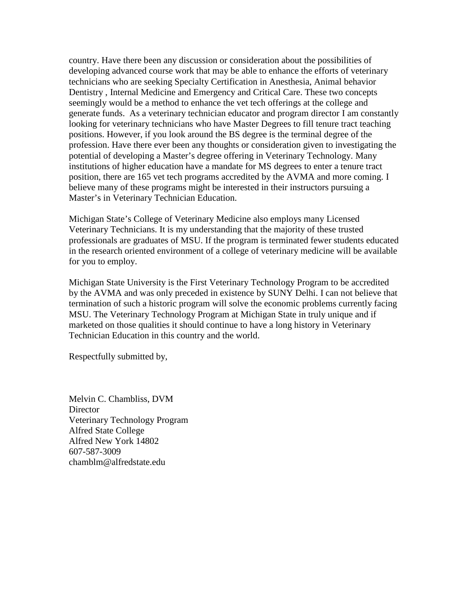country. Have there been any discussion or consideration about the possibilities of developing advanced course work that may be able to enhance the efforts of veterinary technicians who are seeking Specialty Certification in Anesthesia, Animal behavior Dentistry , Internal Medicine and Emergency and Critical Care. These two concepts seemingly would be a method to enhance the vet tech offerings at the college and generate funds. As a veterinary technician educator and program director I am constantly looking for veterinary technicians who have Master Degrees to fill tenure tract teaching positions. However, if you look around the BS degree is the terminal degree of the profession. Have there ever been any thoughts or consideration given to investigating the potential of developing a Master's degree offering in Veterinary Technology. Many institutions of higher education have a mandate for MS degrees to enter a tenure tract position, there are 165 vet tech programs accredited by the AVMA and more coming. I believe many of these programs might be interested in their instructors pursuing a Master's in Veterinary Technician Education.

Michigan State's College of Veterinary Medicine also employs many Licensed Veterinary Technicians. It is my understanding that the majority of these trusted professionals are graduates of MSU. If the program is terminated fewer students educated in the research oriented environment of a college of veterinary medicine will be available for you to employ.

Michigan State University is the First Veterinary Technology Program to be accredited by the AVMA and was only preceded in existence by SUNY Delhi. I can not believe that termination of such a historic program will solve the economic problems currently facing MSU. The Veterinary Technology Program at Michigan State in truly unique and if marketed on those qualities it should continue to have a long history in Veterinary Technician Education in this country and the world.

Respectfully submitted by,

Melvin C. Chambliss, DVM **Director** Veterinary Technology Program Alfred State College Alfred New York 14802 607-587-3009 chamblm@alfredstate.edu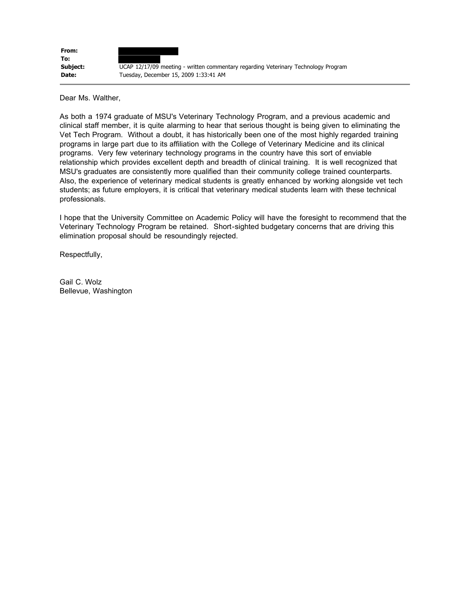

Dear Ms. Walther,

As both a 1974 graduate of MSU's Veterinary Technology Program, and a previous academic and clinical staff member, it is quite alarming to hear that serious thought is being given to eliminating the Vet Tech Program. Without a doubt, it has historically been one of the most highly regarded training programs in large part due to its affiliation with the College of Veterinary Medicine and its clinical programs. Very few veterinary technology programs in the country have this sort of enviable relationship which provides excellent depth and breadth of clinical training. It is well recognized that MSU's graduates are consistently more qualified than their community college trained counterparts. Also, the experience of veterinary medical students is greatly enhanced by working alongside vet tech students; as future employers, it is critical that veterinary medical students learn with these technical professionals.

I hope that the University Committee on Academic Policy will have the foresight to recommend that the Veterinary Technology Program be retained. Short-sighted budgetary concerns that are driving this elimination proposal should be resoundingly rejected.

Respectfully,

Gail C. Wolz Bellevue, Washington